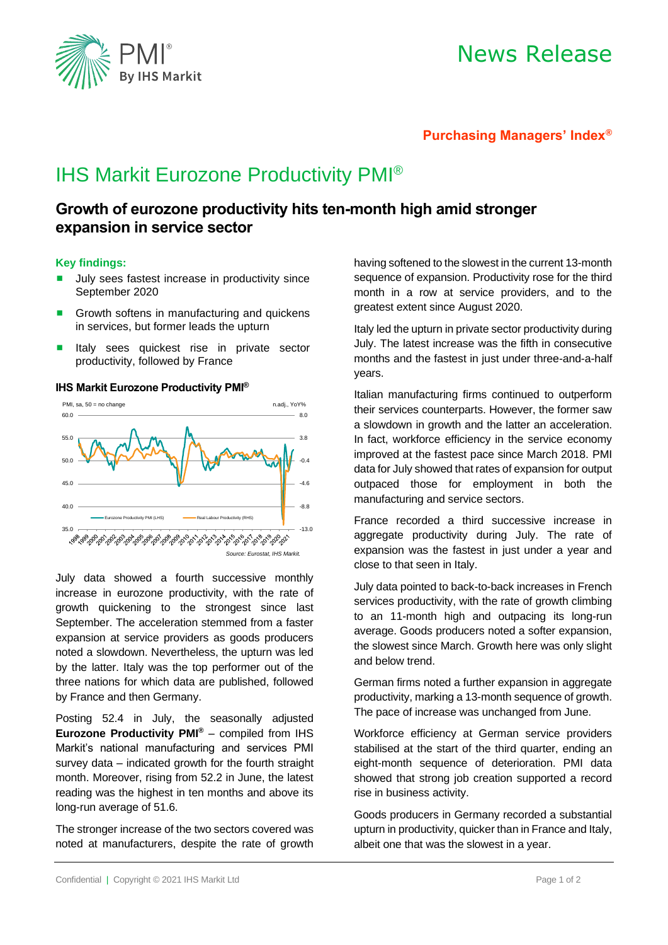

# News Release

### **Purchasing Managers' Index®**

## IHS Markit Eurozone Productivity PMI®

## **Growth of eurozone productivity hits ten-month high amid stronger expansion in service sector**

#### **Key findings:**

- July sees fastest increase in productivity since September 2020
- Growth softens in manufacturing and quickens in services, but former leads the upturn
- **E** Italy sees quickest rise in private sector productivity, followed by France

#### **IHS Markit Eurozone Productivity PMI®**



July data showed a fourth successive monthly increase in eurozone productivity, with the rate of growth quickening to the strongest since last September. The acceleration stemmed from a faster expansion at service providers as goods producers noted a slowdown. Nevertheless, the upturn was led by the latter. Italy was the top performer out of the three nations for which data are published, followed by France and then Germany.

Posting 52.4 in July, the seasonally adjusted **Eurozone Productivity PMI®** – compiled from IHS Markit's national manufacturing and services PMI survey data – indicated growth for the fourth straight month. Moreover, rising from 52.2 in June, the latest reading was the highest in ten months and above its long-run average of 51.6.

The stronger increase of the two sectors covered was noted at manufacturers, despite the rate of growth having softened to the slowest in the current 13-month sequence of expansion. Productivity rose for the third month in a row at service providers, and to the greatest extent since August 2020.

Italy led the upturn in private sector productivity during July. The latest increase was the fifth in consecutive months and the fastest in just under three-and-a-half years.

Italian manufacturing firms continued to outperform their services counterparts. However, the former saw a slowdown in growth and the latter an acceleration. In fact, workforce efficiency in the service economy improved at the fastest pace since March 2018. PMI data for July showed that rates of expansion for output outpaced those for employment in both the manufacturing and service sectors.

France recorded a third successive increase in aggregate productivity during July. The rate of expansion was the fastest in just under a year and close to that seen in Italy.

July data pointed to back-to-back increases in French services productivity, with the rate of growth climbing to an 11-month high and outpacing its long-run average. Goods producers noted a softer expansion, the slowest since March. Growth here was only slight and below trend.

German firms noted a further expansion in aggregate productivity, marking a 13-month sequence of growth. The pace of increase was unchanged from June.

Workforce efficiency at German service providers stabilised at the start of the third quarter, ending an eight-month sequence of deterioration. PMI data showed that strong job creation supported a record rise in business activity.

Goods producers in Germany recorded a substantial upturn in productivity, quicker than in France and Italy, albeit one that was the slowest in a year.